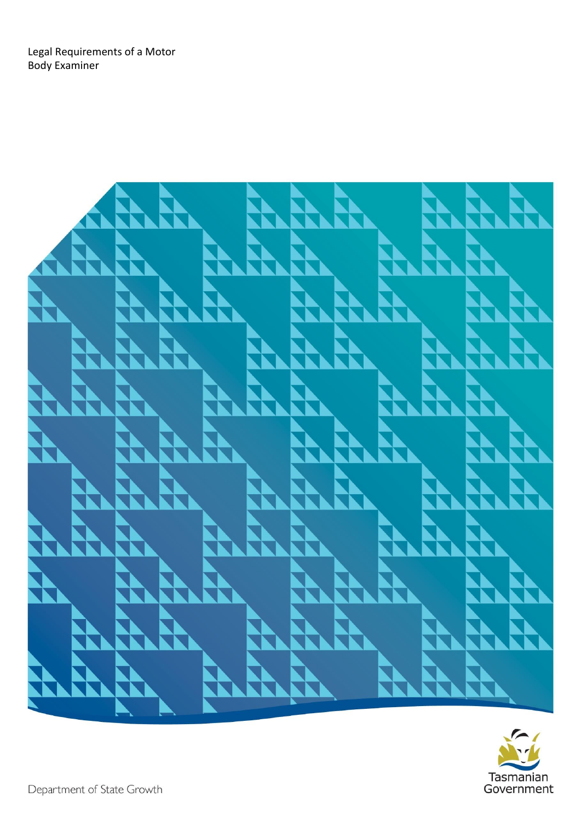Legal Requirements of a Motor Body Examiner



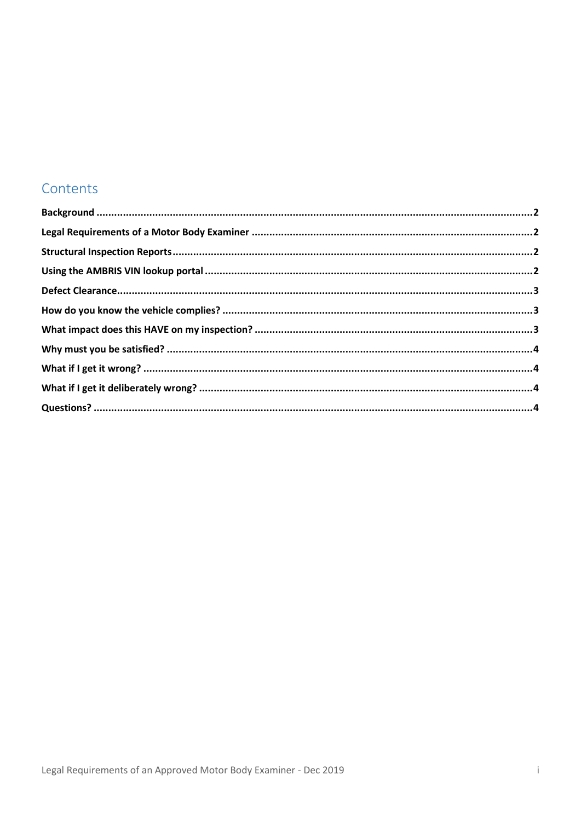#### Contents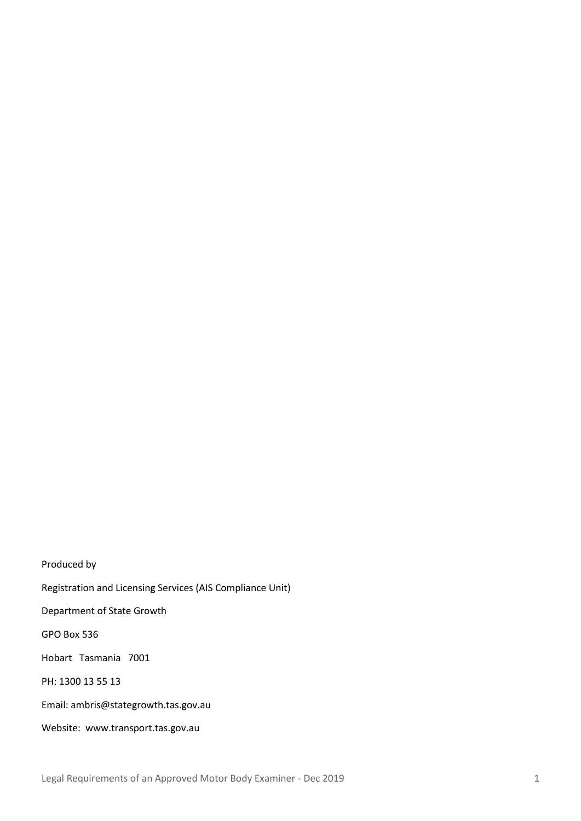Produced by Registration and Licensing Services (AIS Compliance Unit) Department of State Growth GPO Box 536 Hobart Tasmania 7001 PH: 1300 13 55 13 Email[: ambris@stategrowth.tas.gov.au](mailto:ambris@stategrowth.tas.gov.au) Website: www.transport.tas.gov.au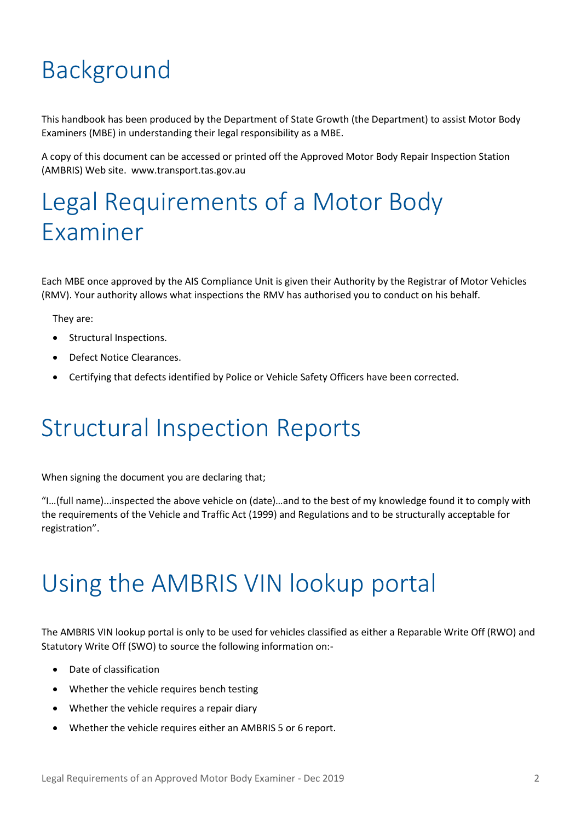# <span id="page-3-0"></span>Background

This handbook has been produced by the Department of State Growth (the Department) to assist Motor Body Examiners (MBE) in understanding their legal responsibility as a MBE.

A copy of this document can be accessed or printed off the Approved Motor Body Repair Inspection Station (AMBRIS) Web site. www.transport.tas.gov.au

#### <span id="page-3-1"></span>Legal Requirements of a Motor Body Examiner

Each MBE once approved by the AIS Compliance Unit is given their Authority by the Registrar of Motor Vehicles (RMV). Your authority allows what inspections the RMV has authorised you to conduct on his behalf.

They are:

- Structural Inspections.
- Defect Notice Clearances.
- Certifying that defects identified by Police or Vehicle Safety Officers have been corrected.

#### <span id="page-3-2"></span>Structural Inspection Reports

When signing the document you are declaring that;

"I…(full name)...inspected the above vehicle on (date)…and to the best of my knowledge found it to comply with the requirements of the Vehicle and Traffic Act (1999) and Regulations and to be structurally acceptable for registration".

#### <span id="page-3-3"></span>Using the AMBRIS VIN lookup portal

The AMBRIS VIN lookup portal is only to be used for vehicles classified as either a Reparable Write Off (RWO) and Statutory Write Off (SWO) to source the following information on:-

- Date of classification
- Whether the vehicle requires bench testing
- Whether the vehicle requires a repair diary
- Whether the vehicle requires either an AMBRIS 5 or 6 report.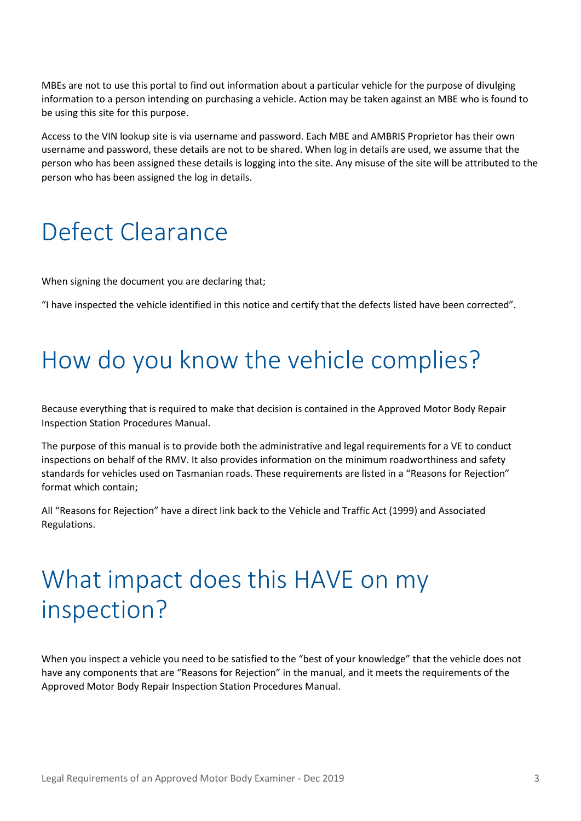MBEs are not to use this portal to find out information about a particular vehicle for the purpose of divulging information to a person intending on purchasing a vehicle. Action may be taken against an MBE who is found to be using this site for this purpose.

Access to the VIN lookup site is via username and password. Each MBE and AMBRIS Proprietor has their own username and password, these details are not to be shared. When log in details are used, we assume that the person who has been assigned these details is logging into the site. Any misuse of the site will be attributed to the person who has been assigned the log in details.

#### <span id="page-4-0"></span>Defect Clearance

When signing the document you are declaring that;

"I have inspected the vehicle identified in this notice and certify that the defects listed have been corrected".

#### <span id="page-4-1"></span>How do you know the vehicle complies?

Because everything that is required to make that decision is contained in the Approved Motor Body Repair Inspection Station Procedures Manual.

The purpose of this manual is to provide both the administrative and legal requirements for a VE to conduct inspections on behalf of the RMV. It also provides information on the minimum roadworthiness and safety standards for vehicles used on Tasmanian roads. These requirements are listed in a "Reasons for Rejection" format which contain;

All "Reasons for Rejection" have a direct link back to the Vehicle and Traffic Act (1999) and Associated Regulations.

#### <span id="page-4-2"></span>What impact does this HAVE on my inspection?

When you inspect a vehicle you need to be satisfied to the "best of your knowledge" that the vehicle does not have any components that are "Reasons for Rejection" in the manual, and it meets the requirements of the Approved Motor Body Repair Inspection Station Procedures Manual.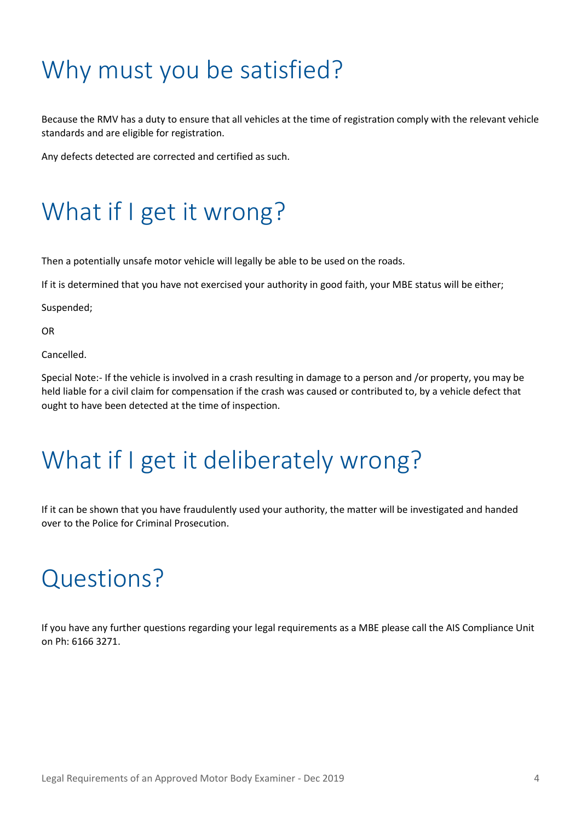## <span id="page-5-0"></span>Why must you be satisfied?

Because the RMV has a duty to ensure that all vehicles at the time of registration comply with the relevant vehicle standards and are eligible for registration.

Any defects detected are corrected and certified as such.

## <span id="page-5-1"></span>What if I get it wrong?

Then a potentially unsafe motor vehicle will legally be able to be used on the roads.

If it is determined that you have not exercised your authority in good faith, your MBE status will be either;

Suspended;

OR

Cancelled.

Special Note:- If the vehicle is involved in a crash resulting in damage to a person and /or property, you may be held liable for a civil claim for compensation if the crash was caused or contributed to, by a vehicle defect that ought to have been detected at the time of inspection.

## <span id="page-5-2"></span>What if I get it deliberately wrong?

If it can be shown that you have fraudulently used your authority, the matter will be investigated and handed over to the Police for Criminal Prosecution.

#### <span id="page-5-3"></span>Questions?

If you have any further questions regarding your legal requirements as a MBE please call the AIS Compliance Unit on Ph: 6166 3271.